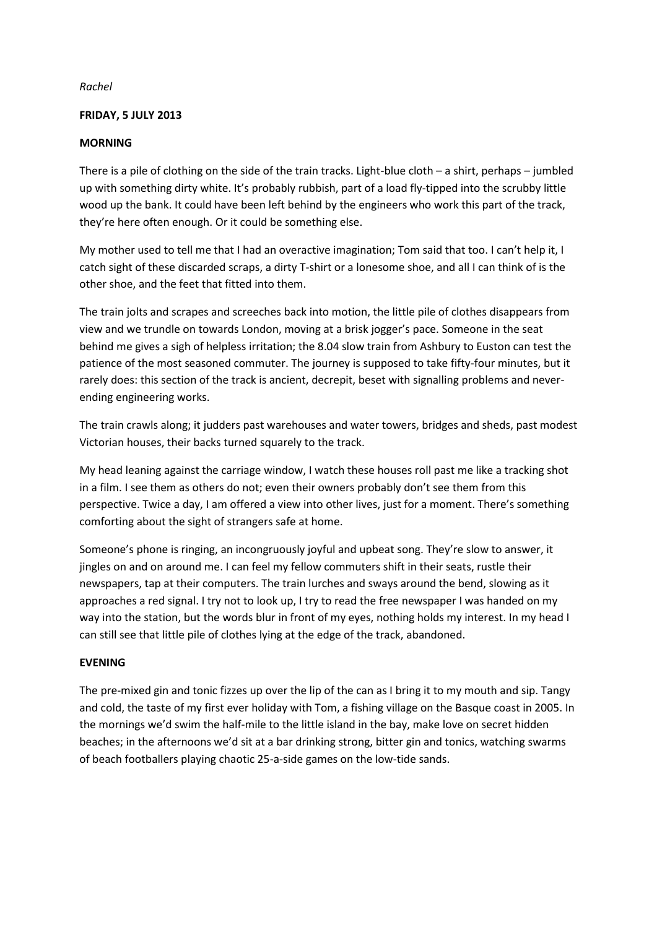### *Rachel*

## **FRIDAY, 5 JULY 2013**

## **MORNING**

There is a pile of clothing on the side of the train tracks. Light-blue cloth – a shirt, perhaps – jumbled up with something dirty white. It's probably rubbish, part of a load fly-tipped into the scrubby little wood up the bank. It could have been left behind by the engineers who work this part of the track, they're here often enough. Or it could be something else.

My mother used to tell me that I had an overactive imagination; Tom said that too. I can't help it, I catch sight of these discarded scraps, a dirty T-shirt or a lonesome shoe, and all I can think of is the other shoe, and the feet that fitted into them.

The train jolts and scrapes and screeches back into motion, the little pile of clothes disappears from view and we trundle on towards London, moving at a brisk jogger's pace. Someone in the seat behind me gives a sigh of helpless irritation; the 8.04 slow train from Ashbury to Euston can test the patience of the most seasoned commuter. The journey is supposed to take fifty-four minutes, but it rarely does: this section of the track is ancient, decrepit, beset with signalling problems and neverending engineering works.

The train crawls along; it judders past warehouses and water towers, bridges and sheds, past modest Victorian houses, their backs turned squarely to the track.

My head leaning against the carriage window, I watch these houses roll past me like a tracking shot in a film. I see them as others do not; even their owners probably don't see them from this perspective. Twice a day, I am offered a view into other lives, just for a moment. There's something comforting about the sight of strangers safe at home.

Someone's phone is ringing, an incongruously joyful and upbeat song. They're slow to answer, it jingles on and on around me. I can feel my fellow commuters shift in their seats, rustle their newspapers, tap at their computers. The train lurches and sways around the bend, slowing as it approaches a red signal. I try not to look up, I try to read the free newspaper I was handed on my way into the station, but the words blur in front of my eyes, nothing holds my interest. In my head I can still see that little pile of clothes lying at the edge of the track, abandoned.

### **EVENING**

The pre-mixed gin and tonic fizzes up over the lip of the can as I bring it to my mouth and sip. Tangy and cold, the taste of my first ever holiday with Tom, a fishing village on the Basque coast in 2005. In the mornings we'd swim the half-mile to the little island in the bay, make love on secret hidden beaches; in the afternoons we'd sit at a bar drinking strong, bitter gin and tonics, watching swarms of beach footballers playing chaotic 25-a-side games on the low-tide sands.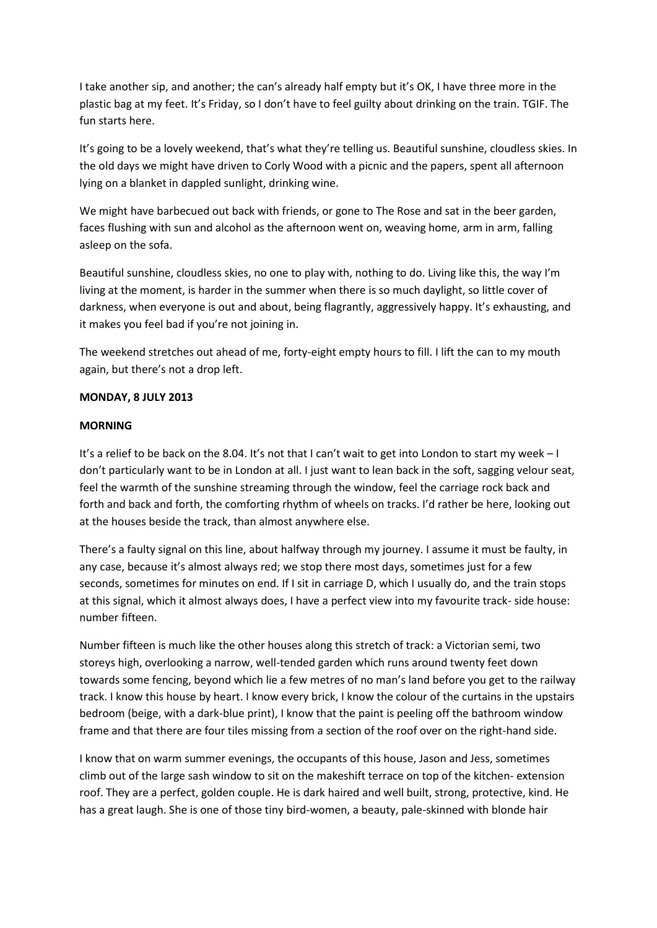I take another sip, and another; the can's already half empty but it's OK, I have three more in the plastic bag at my feet. It's Friday, so I don't have to feel guilty about drinking on the train. TGIF. The fun starts here.

It's going to be a lovely weekend, that's what they're telling us. Beautiful sunshine, cloudless skies. In the old days we might have driven to Corly Wood with a picnic and the papers, spent all afternoon lying on a blanket in dappled sunlight, drinking wine.

We might have barbecued out back with friends, or gone to The Rose and sat in the beer garden, faces flushing with sun and alcohol as the afternoon went on, weaving home, arm in arm, falling asleep on the sofa.

Beautiful sunshine, cloudless skies, no one to play with, nothing to do. Living like this, the way I'm living at the moment, is harder in the summer when there is so much daylight, so little cover of darkness, when everyone is out and about, being flagrantly, aggressively happy. It's exhausting, and it makes you feel bad if you're not joining in.

The weekend stretches out ahead of me, forty-eight empty hours to fill. I lift the can to my mouth again, but there's not a drop left.

## **MONDAY, 8 JULY 2013**

## **MORNING**

It's a relief to be back on the 8.04. It's not that I can't wait to get into London to start my week - I don't particularly want to be in London at all. I just want to lean back in the soft, sagging velour seat, feel the warmth of the sunshine streaming through the window, feel the carriage rock back and forth and back and forth, the comforting rhythm of wheels on tracks. I'd rather be here, looking out at the houses beside the track, than almost anywhere else.

There's a faulty signal on this line, about halfway through my journey. I assume it must be faulty, in any case, because it's almost always red; we stop there most days, sometimes just for a few seconds, sometimes for minutes on end. If I sit in carriage D, which I usually do, and the train stops at this signal, which it almost always does, I have a perfect view into my favourite track- side house: number fifteen.

Number fifteen is much like the other houses along this stretch of track: a Victorian semi, two storeys high, overlooking a narrow, well-tended garden which runs around twenty feet down towards some fencing, beyond which lie a few metres of no man's land before you get to the railway track. I know this house by heart. I know every brick, I know the colour of the curtains in the upstairs bedroom (beige, with a dark-blue print), I know that the paint is peeling off the bathroom window frame and that there are four tiles missing from a section of the roof over on the right-hand side.

I know that on warm summer evenings, the occupants of this house, Jason and Jess, sometimes climb out of the large sash window to sit on the makeshift terrace on top of the kitchen- extension roof. They are a perfect, golden couple. He is dark haired and well built, strong, protective, kind. He has a great laugh. She is one of those tiny bird-women, a beauty, pale-skinned with blonde hair